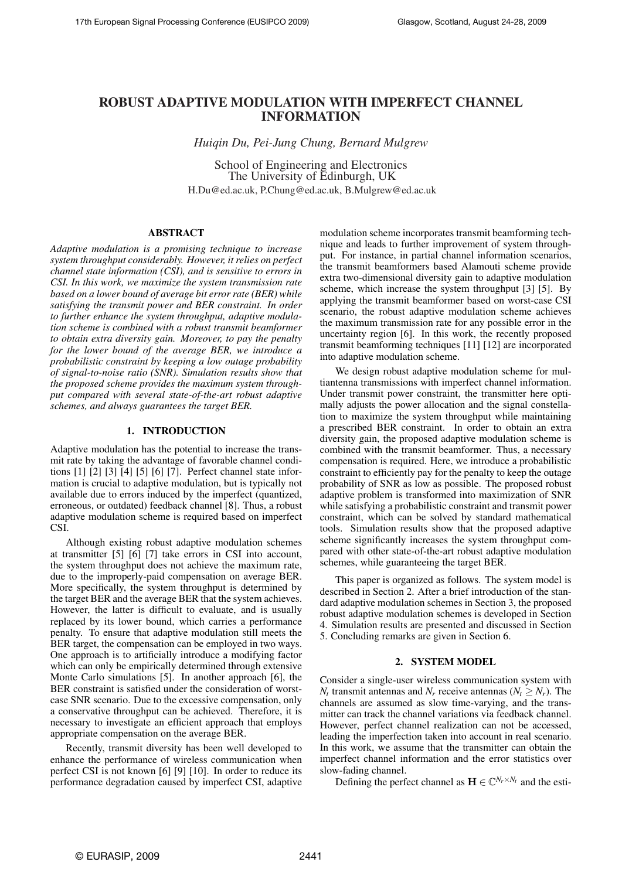# ROBUST ADAPTIVE MODULATION WITH IMPERFECT CHANNEL INFORMATION

*Huiqin Du, Pei-Jung Chung, Bernard Mulgrew*

School of Engineering and Electronics The University of Edinburgh, UK H.Du@ed.ac.uk, P.Chung@ed.ac.uk, B.Mulgrew@ed.ac.uk

## ABSTRACT

*Adaptive modulation is a promising technique to increase system throughput considerably. However, it relies on perfect channel state information (CSI), and is sensitive to errors in CSI. In this work, we maximize the system transmission rate based on a lower bound of average bit error rate (BER) while satisfying the transmit power and BER constraint. In order to further enhance the system throughput, adaptive modulation scheme is combined with a robust transmit beamformer to obtain extra diversity gain. Moreover, to pay the penalty for the lower bound of the average BER, we introduce a probabilistic constraint by keeping a low outage probability of signal-to-noise ratio (SNR). Simulation results show that the proposed scheme provides the maximum system throughput compared with several state-of-the-art robust adaptive schemes, and always guarantees the target BER.*

# 1. INTRODUCTION

Adaptive modulation has the potential to increase the transmit rate by taking the advantage of favorable channel conditions [1] [2] [3] [4] [5] [6] [7]. Perfect channel state information is crucial to adaptive modulation, but is typically not available due to errors induced by the imperfect (quantized, erroneous, or outdated) feedback channel [8]. Thus, a robust adaptive modulation scheme is required based on imperfect CSI.

Although existing robust adaptive modulation schemes at transmitter [5] [6] [7] take errors in CSI into account, the system throughput does not achieve the maximum rate, due to the improperly-paid compensation on average BER. More specifically, the system throughput is determined by the target BER and the average BER that the system achieves. However, the latter is difficult to evaluate, and is usually replaced by its lower bound, which carries a performance penalty. To ensure that adaptive modulation still meets the BER target, the compensation can be employed in two ways. One approach is to artificially introduce a modifying factor which can only be empirically determined through extensive Monte Carlo simulations [5]. In another approach [6], the BER constraint is satisfied under the consideration of worstcase SNR scenario. Due to the excessive compensation, only a conservative throughput can be achieved. Therefore, it is necessary to investigate an efficient approach that employs appropriate compensation on the average BER.

Recently, transmit diversity has been well developed to enhance the performance of wireless communication when perfect CSI is not known [6] [9] [10]. In order to reduce its performance degradation caused by imperfect CSI, adaptive modulation scheme incorporates transmit beamforming technique and leads to further improvement of system throughput. For instance, in partial channel information scenarios, the transmit beamformers based Alamouti scheme provide extra two-dimensional diversity gain to adaptive modulation scheme, which increase the system throughput [3] [5]. By applying the transmit beamformer based on worst-case CSI scenario, the robust adaptive modulation scheme achieves the maximum transmission rate for any possible error in the uncertainty region [6]. In this work, the recently proposed transmit beamforming techniques [11] [12] are incorporated into adaptive modulation scheme.

We design robust adaptive modulation scheme for multiantenna transmissions with imperfect channel information. Under transmit power constraint, the transmitter here optimally adjusts the power allocation and the signal constellation to maximize the system throughput while maintaining a prescribed BER constraint. In order to obtain an extra diversity gain, the proposed adaptive modulation scheme is combined with the transmit beamformer. Thus, a necessary compensation is required. Here, we introduce a probabilistic constraint to efficiently pay for the penalty to keep the outage probability of SNR as low as possible. The proposed robust adaptive problem is transformed into maximization of SNR while satisfying a probabilistic constraint and transmit power constraint, which can be solved by standard mathematical tools. Simulation results show that the proposed adaptive scheme significantly increases the system throughput compared with other state-of-the-art robust adaptive modulation schemes, while guaranteeing the target BER.

This paper is organized as follows. The system model is described in Section 2. After a brief introduction of the standard adaptive modulation schemes in Section 3, the proposed robust adaptive modulation schemes is developed in Section 4. Simulation results are presented and discussed in Section 5. Concluding remarks are given in Section 6.

## 2. SYSTEM MODEL

Consider a single-user wireless communication system with *N*<sup>*t*</sup> transmit antennas and *N*<sup>*r*</sup> receive antennas (*N*<sup>*t*</sup>  $\geq$  *N*<sup>*r*</sup>). The channels are assumed as slow time-varying, and the transmitter can track the channel variations via feedback channel. However, perfect channel realization can not be accessed, leading the imperfection taken into account in real scenario. In this work, we assume that the transmitter can obtain the imperfect channel information and the error statistics over slow-fading channel.

Defining the perfect channel as  $\mathbf{H} \in \mathbb{C}^{N_r \times N_t}$  and the esti-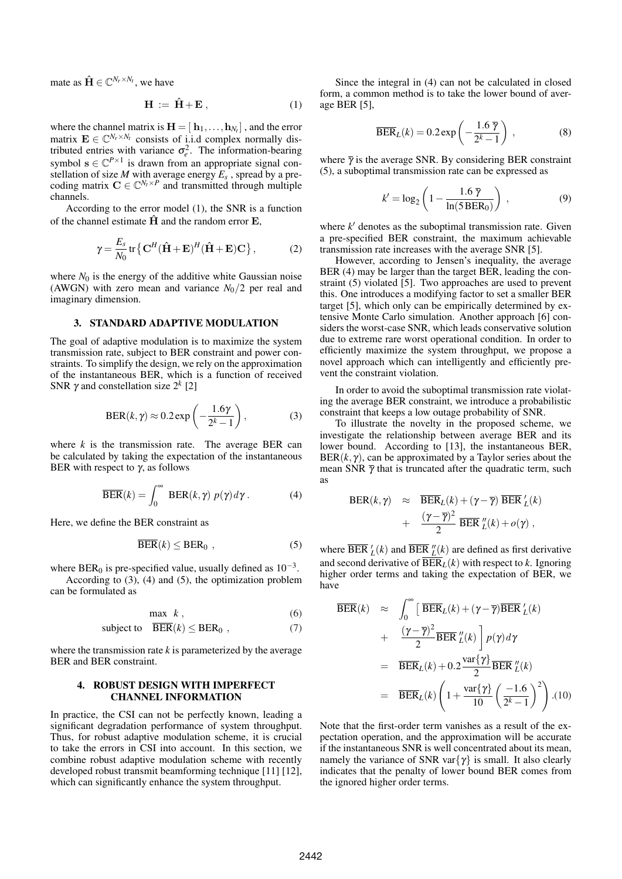mate as  $\hat{\mathbf{H}} \in \mathbb{C}^{N_r \times N_t}$ , we have

$$
\mathbf{H} := \hat{\mathbf{H}} + \mathbf{E}, \tag{1}
$$

where the channel matrix is  $\mathbf{H} = [\mathbf{h}_1, \dots, \mathbf{h}_{N_t}]$  , and the error matrix  $\mathbf{E} \in \mathbb{C}^{N_r \times N_t}$  consists of i.i.d complex normally distributed entries with variance  $\sigma_e^2$ . The information-bearing symbol  $s \in \mathbb{C}^{P \times 1}$  is drawn from an appropriate signal constellation of size *M* with average energy *E<sup>s</sup>* , spread by a precoding matrix  $C \in \mathbb{C}^{N_t \times P}$  and transmitted through multiple channels.

According to the error model (1), the SNR is a function of the channel estimate  $\hat{H}$  and the random error  $E$ ,

$$
\gamma = \frac{E_s}{N_0} \text{tr} \left\{ \mathbf{C}^H (\hat{\mathbf{H}} + \mathbf{E})^H (\hat{\mathbf{H}} + \mathbf{E}) \mathbf{C} \right\},\tag{2}
$$

where  $N_0$  is the energy of the additive white Gaussian noise (AWGN) with zero mean and variance  $N_0/2$  per real and imaginary dimension.

#### 3. STANDARD ADAPTIVE MODULATION

The goal of adaptive modulation is to maximize the system transmission rate, subject to BER constraint and power constraints. To simplify the design, we rely on the approximation of the instantaneous BER, which is a function of received SNR  $\gamma$  and constellation size  $2^k$  [2]

$$
\text{BER}(k, \gamma) \approx 0.2 \exp\left(-\frac{1.6\gamma}{2^k - 1}\right),\tag{3}
$$

where  $k$  is the transmission rate. The average BER can be calculated by taking the expectation of the instantaneous BER with respect to  $γ$ , as follows

$$
\overline{\text{BER}}(k) = \int_0^\infty \ \text{BER}(k, \gamma) \ p(\gamma) d\gamma \,. \tag{4}
$$

Here, we define the BER constraint as

$$
\overline{\text{BER}}(k) \leq \text{BER}_0 , \qquad (5)
$$

where BER<sub>0</sub> is pre-specified value, usually defined as  $10^{-3}$ .

According to (3), (4) and (5), the optimization problem can be formulated as

$$
\max k, \tag{6}
$$

$$
subject to \quad \overline{BER}(k) \le BER_0 , \qquad (7)
$$

where the transmission rate  $k$  is parameterized by the average BER and BER constraint.

## 4. ROBUST DESIGN WITH IMPERFECT CHANNEL INFORMATION

In practice, the CSI can not be perfectly known, leading a significant degradation performance of system throughput. Thus, for robust adaptive modulation scheme, it is crucial to take the errors in CSI into account. In this section, we combine robust adaptive modulation scheme with recently developed robust transmit beamforming technique [11] [12], which can significantly enhance the system throughput.

Since the integral in (4) can not be calculated in closed form, a common method is to take the lower bound of average BER [5],

$$
\overline{\text{BER}}_L(k) = 0.2 \exp\left(-\frac{1.6 \overline{\gamma}}{2^k - 1}\right) ,\qquad (8)
$$

where  $\bar{\gamma}$  is the average SNR. By considering BER constraint (5), a suboptimal transmission rate can be expressed as

$$
k' = \log_2\left(1 - \frac{1.6 \overline{\gamma}}{\ln(5 \text{ BER}_0)}\right),\tag{9}
$$

where  $k'$  denotes as the suboptimal transmission rate. Given a pre-specified BER constraint, the maximum achievable transmission rate increases with the average SNR [5].

However, according to Jensen's inequality, the average BER (4) may be larger than the target BER, leading the constraint (5) violated [5]. Two approaches are used to prevent this. One introduces a modifying factor to set a smaller BER target [5], which only can be empirically determined by extensive Monte Carlo simulation. Another approach [6] considers the worst-case SNR, which leads conservative solution due to extreme rare worst operational condition. In order to efficiently maximize the system throughput, we propose a novel approach which can intelligently and efficiently prevent the constraint violation.

In order to avoid the suboptimal transmission rate violating the average BER constraint, we introduce a probabilistic constraint that keeps a low outage probability of SNR.

To illustrate the novelty in the proposed scheme, we investigate the relationship between average BER and its lower bound. According to [13], the instantaneous BER,  $BER(k, \gamma)$ , can be approximated by a Taylor series about the mean SNR  $\bar{\gamma}$  that is truncated after the quadratic term, such as

$$
BER(k,\gamma) \approx \frac{\overline{BER}_L(k) + (\gamma - \overline{\gamma}) \overline{BER}'_L(k)}{+\frac{(\gamma - \overline{\gamma})^2}{2} \overline{BER}''_L(k) + o(\gamma),}
$$

where  $\overline{\text{BER}}_L^{\prime}(k)$  and  $\overline{\text{BER}}_L^{\prime\prime}(k)$  are defined as first derivative and second derivative of  $\overline{BER}_L(k)$  with respect to *k*. Ignoring higher order terms and taking the expectation of BER, we have

$$
\overline{BER}(k) \approx \int_0^\infty \left[ \overline{BER}_L(k) + (\gamma - \overline{\gamma}) \overline{BER}'_L(k) + \frac{(\gamma - \overline{\gamma})^2}{2} \overline{BER}'_L(k) \right] p(\gamma) d\gamma
$$
  
\n
$$
= \overline{BER}_L(k) + 0.2 \frac{\text{var}\{\gamma\}}{2} \overline{BER}'_L(k)
$$
  
\n
$$
= \overline{BER}_L(k) \left( 1 + \frac{\text{var}\{\gamma\}}{10} \left( \frac{-1.6}{2^k - 1} \right)^2 \right). (10)
$$

Note that the first-order term vanishes as a result of the expectation operation, and the approximation will be accurate if the instantaneous SNR is well concentrated about its mean, namely the variance of SNR var $\{\gamma\}$  is small. It also clearly indicates that the penalty of lower bound BER comes from the ignored higher order terms.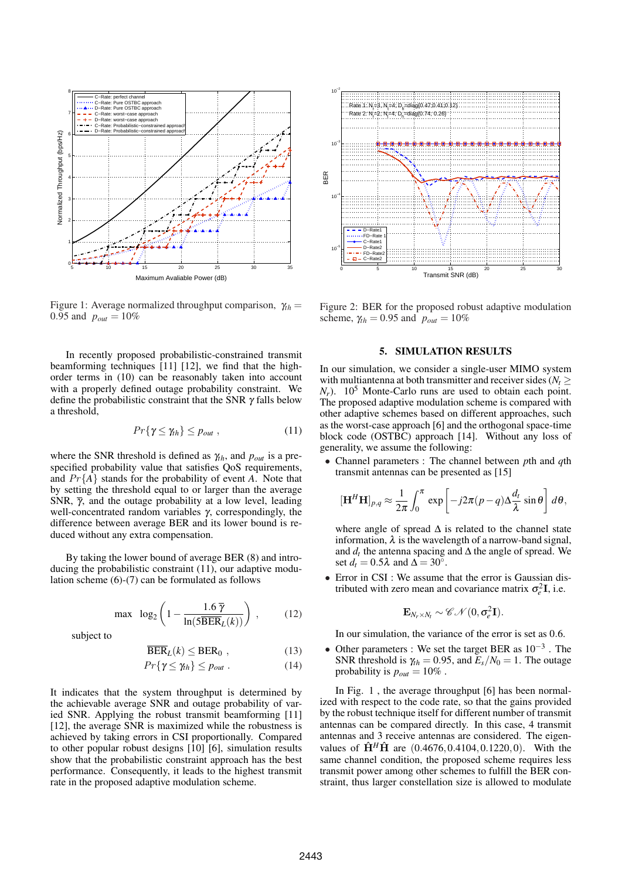

Figure 1: Average normalized throughput comparison, <sup>γ</sup>*th* = 0.95 and  $p_{out} = 10\%$ 

In recently proposed probabilistic-constrained transmit beamforming techniques [11] [12], we find that the highorder terms in (10) can be reasonably taken into account with a properly defined outage probability constraint. We define the probabilistic constraint that the SNR  $\gamma$  falls below a threshold,

$$
Pr\{\gamma \leq \gamma_{th}\} \leq p_{out} , \qquad (11)
$$

where the SNR threshold is defined as  $\gamma_{th}$ , and  $p_{out}$  is a prespecified probability value that satisfies QoS requirements, and Pr{*A*} stands for the probability of event *A*. Note that by setting the threshold equal to or larger than the average SNR,  $\bar{\gamma}$ , and the outage probability at a low level, leading well-concentrated random variables γ, correspondingly, the difference between average BER and its lower bound is reduced without any extra compensation.

By taking the lower bound of average BER (8) and introducing the probabilistic constraint (11), our adaptive modulation scheme (6)-(7) can be formulated as follows

$$
\max \ \log_2\left(1 - \frac{1.6 \ \overline{\gamma}}{\ln(5 \overline{\text{BER}}_L(k))}\right) \,, \tag{12}
$$

subject to

$$
\overline{\text{BER}}_L(k) \leq \text{BER}_0 \tag{13}
$$

$$
Pr\{\gamma \le \gamma_{th}\} \le p_{out} \ . \tag{14}
$$

It indicates that the system throughput is determined by the achievable average SNR and outage probability of varied SNR. Applying the robust transmit beamforming [11] [12], the average SNR is maximized while the robustness is achieved by taking errors in CSI proportionally. Compared to other popular robust designs [10] [6], simulation results show that the probabilistic constraint approach has the best performance. Consequently, it leads to the highest transmit rate in the proposed adaptive modulation scheme.



Figure 2: BER for the proposed robust adaptive modulation scheme,  $\gamma_{th} = 0.95$  and  $p_{out} = 10\%$ 

### 5. SIMULATION RESULTS

In our simulation, we consider a single-user MIMO system with multiantenna at both transmitter and receiver sides ( $N_t \geq$  $N_r$ ). 10<sup>5</sup> Monte-Carlo runs are used to obtain each point. The proposed adaptive modulation scheme is compared with other adaptive schemes based on different approaches, such as the worst-case approach [6] and the orthogonal space-time block code (OSTBC) approach [14]. Without any loss of generality, we assume the following:

• Channel parameters : The channel between *p*th and *q*th transmit antennas can be presented as [15]

$$
[\mathbf{H}^H \mathbf{H}]_{p,q} \approx \frac{1}{2\pi} \int_0^{\pi} \exp\left[-j2\pi(p-q)\Delta \frac{d_t}{\lambda} \sin \theta\right] d\theta,
$$

where angle of spread  $\Delta$  is related to the channel state information,  $\lambda$  is the wavelength of a narrow-band signal, and  $d_t$  the antenna spacing and  $\Delta$  the angle of spread. We set  $d_t = 0.5\lambda$  and  $\Delta = 30^\circ$ .

• Error in CSI : We assume that the error is Gaussian distributed with zero mean and covariance matrix  $\sigma_e^2 \mathbf{I}$ , i.e.

$$
\mathbf{E}_{N_r \times N_t} \sim \mathscr{CN}(0,\sigma_e^2\mathbf{I}).
$$

In our simulation, the variance of the error is set as 0.6.

• Other parameters : We set the target BER as  $10^{-3}$ . The SNR threshold is  $\gamma_{th} = 0.95$ , and  $\bar{E}_s/N_0 = 1$ . The outage probability is  $p_{out} = 10\%$ .

In Fig. 1 , the average throughput [6] has been normalized with respect to the code rate, so that the gains provided by the robust technique itself for different number of transmit antennas can be compared directly. In this case, 4 transmit antennas and 3 receive antennas are considered. The eigenvalues of  $\hat{H}^H\hat{H}$  are (0.4676, 0.4104, 0.1220, 0). With the same channel condition, the proposed scheme requires less transmit power among other schemes to fulfill the BER constraint, thus larger constellation size is allowed to modulate